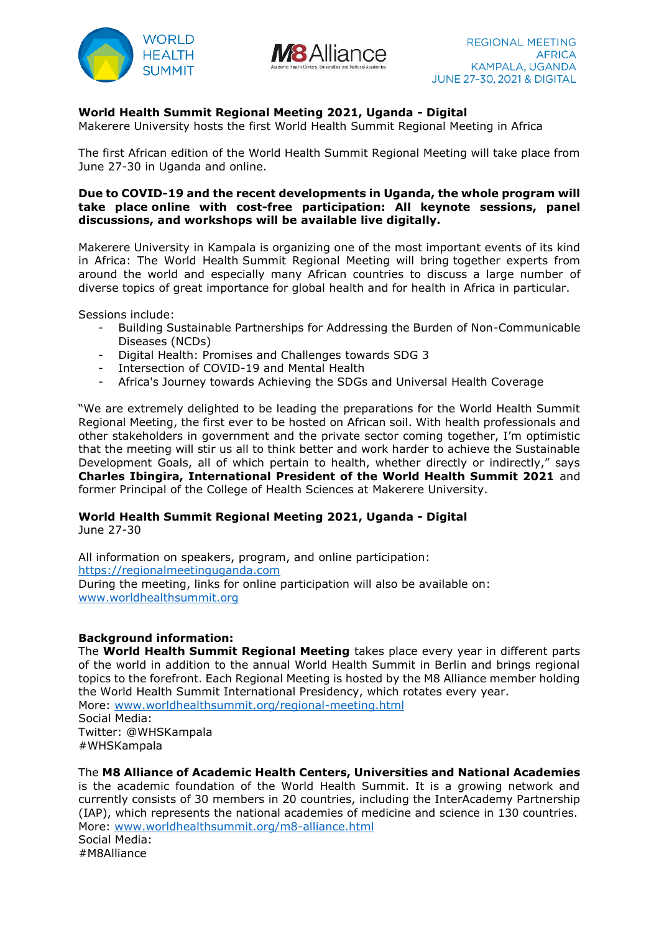



## **World Health Summit Regional Meeting 2021, Uganda - Digital**

Makerere University hosts the first World Health Summit Regional Meeting in Africa

The first African edition of the World Health Summit Regional Meeting will take place from June 27-30 in Uganda and online.

### **Due to COVID-19 and the recent developments in Uganda, the whole program will take place online with cost-free participation: All keynote sessions, panel discussions, and workshops will be available live digitally.**

Makerere University in Kampala is organizing one of the most important events of its kind in Africa: The World Health Summit Regional Meeting will bring together experts from around the world and especially many African countries to discuss a large number of diverse topics of great importance for global health and for health in Africa in particular.

Sessions include:

- Building Sustainable Partnerships for Addressing the Burden of Non-Communicable Diseases (NCDs)
- Digital Health: Promises and Challenges towards SDG 3
- Intersection of COVID-19 and Mental Health
- Africa's Journey towards Achieving the SDGs and Universal Health Coverage

"We are extremely delighted to be leading the preparations for the World Health Summit Regional Meeting, the first ever to be hosted on African soil. With health professionals and other stakeholders in government and the private sector coming together, I'm optimistic that the meeting will stir us all to think better and work harder to achieve the Sustainable Development Goals, all of which pertain to health, whether directly or indirectly," says **Charles Ibingira, International President of the World Health Summit 2021** and former Principal of the College of Health Sciences at Makerere University.

# **World Health Summit Regional Meeting 2021, Uganda - Digital**

June 27-30

All information on speakers, program, and online participation: [https://regionalmeetinguganda.com](https://regionalmeetinguganda.com/) During the meeting, links for online participation will also be available on: [www.worldhealthsummit.org](http://www.worldhealthsummit.org/)

#### **Background information:**

The **World Health Summit Regional Meeting** takes place every year in different parts of the world in addition to the annual World Health Summit in Berlin and brings regional topics to the forefront. Each Regional Meeting is hosted by the M8 Alliance member holding the World Health Summit International Presidency, which rotates every year. More: [www.worldhealthsummit.org/regional-meeting.html](https://www.worldhealthsummit.org/regional-meeting.html) Social Media: Twitter: @WHSKampala #WHSKampala

The **M8 Alliance of Academic Health Centers, Universities and National Academies**

is the academic foundation of the World Health Summit. It is a growing network and currently consists of 30 members in 20 countries, including the InterAcademy Partnership (IAP), which represents the national academies of medicine and science in 130 countries. More: [www.worldhealthsummit.org/m8-alliance.html](https://www.worldhealthsummit.org/m8-alliance.html) Social Media: #M8Alliance